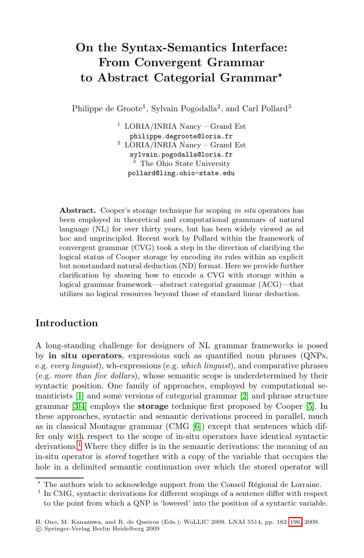# **On the Syntax-Semantics Interface: From Convergent Grammar to Abstract Categorial Grammar***-*

Philippe de Groote<sup>1</sup>, Sylvain Pogodalla<sup>2</sup>, and Carl Pollard<sup>3</sup>

<sup>1</sup> LORIA/INRIA Nancy – Grand Est philippe.degroote@loria.fr <sup>2</sup> LORIA/INRIA Nancy – Grand Est sylvain.pogodalla@loria.fr <sup>3</sup> The Ohio State University pollard@ling.ohio-state.edu

**Abstract.** Cooper's storage technique for scoping *in situ* operators has been employed in theoretical and computational grammars of natural language (NL) for over thirty years, but has been widely viewed as ad hoc and unprincipled. Recent work by Pollard within the framework of convergent grammar (CVG) took a step in the direction of clarifying the logical status of Cooper storage by encoding its rules within an explicit but nonstandard natural deduction (ND) format. Here we provide further clarification by showing how to encode a CVG with storage within a logical grammar framework—abstract categorial grammar (ACG)—that utilizes no logical resources beyond those of standard linear deduction.

## **Introduction**

A long-standing challe[nge](#page-10-0) for designers of NL grammar frameworks is posed by **in situ operators**, expressions such as quantified noun phrases (QNPs, e.g. *every linguist*), wh-expressions (e.g. *which linguist*), and comparative phrases (e.g. *more than five dollars*), whose semantic scope is underdetermined by their syntactic position. One family of approaches, employed by computational semanticists [1] and some versions of categorial grammar [2] and phrase structure grammar [3,4] employs the **storage** technique first proposed by Cooper [5]. In these approaches, syntactic and semantic derivations proceed in parallel, much as in classical Montague grammar (CMG [6]) except that sentences which differ only with respect to the scope of in-situ operators have identical syntactic derivations.<sup>1</sup> Where they differ is in the semantic [deriv](#page-14-0)ations: the meaning of an in-situ operator is *stored* together with a copy of the variable that occupies the hole in a delimited semantic continuation over which the stored operator will

<sup>\*</sup> The authors wish to acknowledge support from the Conseil Régional de Lorraine.

<sup>1</sup> In CMG, syntactic derivations for different scopings of a sentence differ with respect to the point from which a QNP is 'lowered' into the position of a syntactic variable.

H. Ono, M. Kanazawa, and R. de Queiroz (Eds.): WoLLIC 2009, LNAI 5514, pp. 182–196, 2009. -c Springer-Verlag Berlin Heidelberg 2009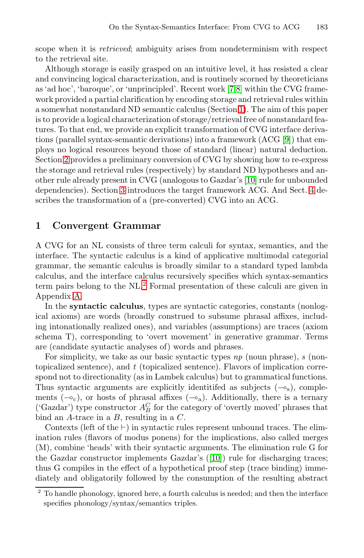scope when it is *retrieved*; ambiguity arises from nondeterminism with respect to the retrieval site.

<span id="page-1-0"></span>Although storage is easily grasped on an intuitive level, it has resisted a clear and convincing logical characterization, and is routinely scorned by theoreticians as 'ad hoc', 'baroque', or 'unprincipled'. Recent work [7,8] within the CVG framework provided a partial clarification by [enc](#page-10-1)oding storage and retrieval rules within a so[me](#page-3-0)what nonstandard ND semantic calculus (Section [1\)](#page-5-0). The aim of this paper is to provide a logical characterization of storage/retrieval free of nonstandard features. To that end, we provide an explicit transformation of CVG interface derivations (parallel syntax-semantic derivations) into a framework (ACG [9]) that employs no logical resources beyond those of standard (linear) natural deduction. Section 2 provides a preliminary conversion of CVG by showing how to re-express the storage and retrieval rules (respectively) by standard ND hypotheses and another rule already present in CVG (analogous to Gazdar's [10] rule for unbounded dependencies). Section 3 introduces the target framework ACG. And Sect. 4 describes th[e t](#page-1-1)ransformation of a (pre-converted) CVG into an ACG.

## **1 Convergent Grammar**

A CVG for an NL consists of three term calculi for syntax, semantics, and the interface. The syntactic calculus is a kind of applicative multimodal categorial grammar, the semantic calculus is broadly similar to a standard typed lambda calculus, and the interface calculus recursively specifies which syntax-semantics term pairs belong to the NL.<sup>2</sup> Formal presentation of these calculi are given in Appendix A.

In the **syntactic calculus**, types are syntactic categories, constants (nonlogical axioms) are words (broadly construed to subsume phrasal affixes, including intonationally realized ones), and variables (assumptions) are traces (axiom schema T), corresponding to 'overt movement' in generative grammar. Terms are (candidate syntactic analyses of) words and phrases.

For simplicity, we take as our basic syntactic types *np* (noun phrase), *s* (nontopicalized sentence), and *t* (topicalized sentence). Flavors of implication correspond not to directionality (a[s in](#page-10-1) Lambek calculus) but to grammatical functions. Thus syntactic arguments are explicitly identitifed as subjects  $(-\delta_s)$ , complements  $(-c_c)$ , or hosts of phrasal affixes  $(-c_a)$ . Additionally, there is a ternary ('Gazdar') type constructor  ${\cal A}^C_B$  for the category of 'overtly moved' phrases that bind an A-trace in a  $B$ , resulting in a  $C$ .

<span id="page-1-1"></span>Contexts (left of the  $\vdash$ ) in syntactic rules represent unbound traces. The elimination rules (flavors of modus ponens) for the implications, also called merges (M), combine 'heads' with their syntactic arguments. The elimination rule G for the Gazdar constructor implements Gazdar's ([10]) rule for discharging traces; thus G compiles in the effect of a hypothetical proof step (trace binding) immediately and obligatorily followed by the consumption of the resulting abstract

<sup>2</sup> To handle phonology, ignored here, a fourth calculus is needed; and then the interface specifies phonology/syntax/semantics triples.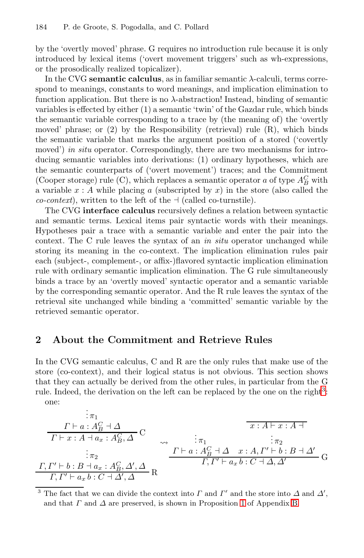by the 'overtly moved' phrase. G requires no introduction rule because it is only introduced by lexical items ('overt movement triggers' such as wh-expressions, or the prosodically realized topicalizer).

In the CVG **semantic calculus**, as in familiar semantic <sup>λ</sup>-calculi, terms correspond to meanings, constants to word meanings, and implication elimination to function application. But there is no  $\lambda$ -abstraction! Instead, binding of semantic variables is effected by either (1) a semantic 'twin' of the Gazdar rule, which binds the semantic variable corresponding to a trace by (the meaning of) the 'overtly moved' phrase; or (2) by the Responsibility (retrieval) rule (R), which binds the semantic variable that marks the argument position of a stored ('covertly moved') *in situ* operator. Correspondingly, there are two mechanisms for introducing semantic variables into derivations: (1) ordinary hypotheses, which are the semantic counterparts of ('overt movement') traces; and the Commitment (Cooper storage) rule (C), which replaces a semantic operator  $a$  of type  ${\mathcal A}_B^C$  with a variable  $x : A$  while placing a (subscripted by x) in the store (also called the *co-context*), written to the left of the  $\vdash$  (called co-turnstile).

<span id="page-2-0"></span>The CVG **interface calculus** recursively defines a relation between syntactic and semantic terms. Lexical items pair syntactic words with their meanings. Hypotheses pair a trace with a semantic variable and enter the pair into the context. The C rule leaves the syntax of an *in situ* operator unchanged while storing its meaning in the co-context. The implication elimination rules pair each (subject-, complement-, or affix-)flavored syntactic implication elimination rule with ordinary semantic implication elimination. The G rule simultaneously binds a trace by an 'overtly moved' syntactic operator and a semantic variable by the corresponding semantic operator. And the R rule leaves the syntax of the retrieval site unchanged while binding a 'committed' semantic variable by the retrieved semantic operator.

## **2 About the Commitment and Retrieve Rules**

In the CVG semantic calculus, C and R are the only rules that make use of the store (co-context), and their logical status is not obvious. This section shows that they can actually be derived from the other rules, in particular from the G rule. Indeed, the derivation on the left can be replaced by the one on the right<sup>3</sup>: one: .

. . π<sup>1</sup> Γ a : A<sup>C</sup> <sup>B</sup> <sup>Δ</sup> <sup>C</sup> <sup>Γ</sup> x : A a<sup>x</sup> : A<sup>C</sup> <sup>B</sup>, Δ . . . π<sup>2</sup> Γ, Γ b : B a<sup>x</sup> : A<sup>C</sup> B, Δ , Δ <sup>R</sup> Γ, Γ a<sup>x</sup> b : C Δ , Δ . . . π<sup>1</sup> Γ a : A<sup>C</sup> <sup>B</sup> <sup>Δ</sup> x : A x : A . . . π<sup>2</sup> x : A, Γ b : B Δ <sup>G</sup> Γ, Γ a<sup>x</sup> b : C Δ, Δ

<sup>3</sup> The fact that we can divide the context into  $\Gamma$  and  $\Gamma'$  and the store into  $\Delta$  and  $\Delta'$ , and that  $\Gamma$  and  $\Delta$  are preserved, is shown in Proposition 1 of Appendix B.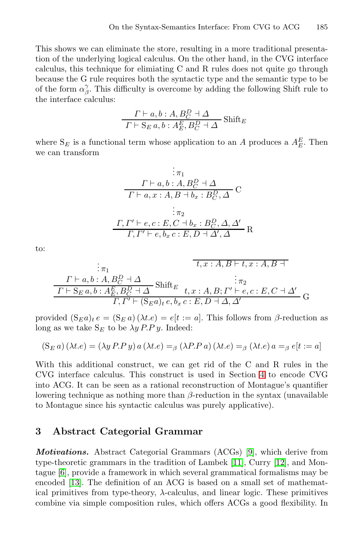This shows we can eliminate the store, resulting in a more traditional presentation of the underlying logical calculus. On the other hand, in the CVG interface calculus, this technique for elimiating C and R rules does not quite go through because the G rule requires both the syntactic type and the semantic type to be of the form  $\alpha_{\beta}^{\gamma}$ . This difficulty is overcome by adding the following Shift rule to the interface calculus:

Γ a, b : A, B<sup>D</sup> <sup>C</sup> <sup>Δ</sup> Shift<sup>E</sup> <sup>Γ</sup> - S<sup>E</sup> a, b : A<sup>E</sup> E, B<sup>D</sup> <sup>C</sup> <sup>Δ</sup>

where  $S_E$  is a functional term whose application to an A produces a  $A_E^E$ . Then we can transform

$$
\begin{array}{r}\n\vdots \pi_1 \\
\Gamma \vdash a, b : A, B_C^D \dashv \Delta \\
\hline\n\Gamma \vdash a, x : A, B \dashv b_x : B_C^D, \Delta\n\end{array} \mathbf{C}
$$
\n
$$
\begin{array}{r}\n\vdots \pi_2 \\
\Gamma, \Gamma' \vdash e, c : E, C \dashv b_x : B_C^D, \Delta, \Delta' \\
\hline\n\Gamma, \Gamma' \vdash e, b_x c : E, D \dashv \Delta', \Delta\n\end{array} \mathbf{R}
$$

to:

$$
\begin{array}{c}\n\vdots \pi_1 \quad \tau, x:A, B \vdash t, x:A, B \vdash t \\
\hline\n\Gamma \vdash a, b:A, B_C^D \dashv \Delta \quad \text{Shift}_{E} \\
\hline\nT \vdash S_E a, b:A_E^E, B_C^D \dashv \Delta \quad \text{Shift}_{E} \\
\hline\nT, \Gamma' \vdash (S_E a)_t e, b_x c:E, D \dashv \Delta, \Delta'\n\end{array}
$$

provided  $(S_E a)_t e = (S_E a)(\lambda t.e) = e[t := a]$ . This follows from  $\beta$ -reduction as long as we take  $S_E$  to be  $\lambda y P.P y$ . Indeed:

$$
(\mathbf{S}_E a) (\lambda t.e) = (\lambda y P.P y) a (\lambda t.e) =_{\beta} (\lambda P.P a) (\lambda t.e) =_{\beta} (\lambda t.e) a =_{\beta} e[t := a]
$$

<span id="page-3-0"></span>With this additional construct, we can get rid of the C and R rules in the CVG interface calculus. This constru[ct](#page-10-2) is used in Section 4 to encode CVG into ACG. It can be seen as a rat[ion](#page-10-3)al recons[tru](#page-10-4)ction of Montague's quantifier lowering technique as nothing more than  $\beta$ -reduction in the syntax (unavailable to Montague since his syntactic calculus was purely applicative).

## **3 Abstract Categorial Grammar**

*Motivations.* Abstract Categorial Grammars (ACGs) [9], which derive from type-theoretic grammars in the tradition of Lambek [11], Curry [12], and Montague [6], provide a framework in which several grammatical formalisms may be encoded [13]. The definition of an ACG is based on a small set of mathematical primitives from type-theory,  $\lambda$ -calculus, and linear logic. These primitives combine via simple composition rules, which offers ACGs a good flexibility. In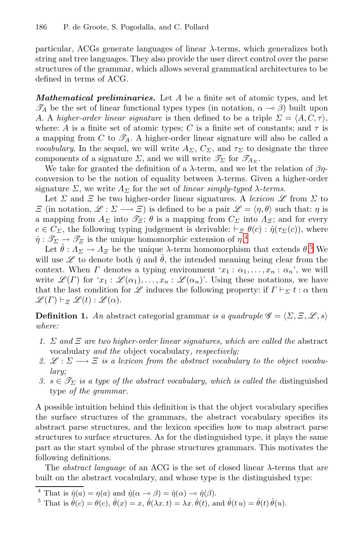particular, ACGs generate languages of linear λ-terms, which generalizes both string and tree languages. They also provide the user direct control over the parse structures of the grammar, which allows several grammatical architectures to be defined in terms of ACG.

*Mathematical preliminaries.* Let A be a finite set of atomic types, and let  $\mathscr{T}_A$  be the set of linear functional types types (in notation,  $\alpha \to \beta$ ) built upon A. A *higher-order linear signature* is then defined to be a triple  $\Sigma = \langle A, C, \tau \rangle$ , where: A is a finite set of atomic types; C is a finite set of constants; and  $\tau$  is a mapping from  $C$  to  $\mathscr{T}_A$ . A higher-order linear signature will also be called a *vocabulary*. In the sequel, we will write  $A_{\Sigma}$ ,  $C_{\Sigma}$ , and  $\tau_{\Sigma}$  to designate the three components of a signature  $\Sigma$ , and [w](#page-4-0)e will write  $\mathscr{T}_{\Sigma}$  for  $\mathscr{T}_{A_{\Sigma}}$ .

We take for granted the definition of a  $\lambda$ -term, and [we](#page-4-1) let the relation of  $\beta\eta$ conversion to be the notion of equality between  $\lambda$ -terms. Given a higher-order signature  $\Sigma$ , we write  $\Lambda_{\Sigma}$  for the set of *linear simply-typed*  $\lambda$ -terms.

Let  $\Sigma$  and  $\Xi$  be two higher-order linear signatures. A *lexicon*  $\mathscr L$  from  $\Sigma$  to  $\Xi$  (in notation,  $\mathscr{L} : \Sigma \longrightarrow \Xi$ ) is defined to be a pair  $\mathscr{L} = \langle \eta, \theta \rangle$  such that:  $\eta$  is a mapping from  $A_{\Sigma}$  into  $\mathscr{T}_{\Xi}$ ;  $\theta$  is a mapping from  $C_{\Sigma}$  into  $A_{\Xi}$ ; and for every  $c \in C_{\Sigma}$ , the following typing judgement is derivable:  $\vdash_{\Xi} \theta(c) : \hat{\eta}(\tau_{\Sigma}(c))$ , where  $\hat{\eta}: \mathscr{T}_{\Sigma} \to \mathscr{T}_{\Xi}$  is the unique homomorphic extension of  $\eta$ <sup>4</sup>

Let  $\hat{\theta}: A_{\Sigma} \to A_{\Xi}$  be the unique  $\lambda$ -term homomorphism that extends  $\theta$ .<sup>5</sup> We will use  $\mathscr L$  to denote both  $\hat \eta$  and  $\hat \theta$ , the intended meaning being clear from the context. When  $\Gamma$  denotes a typing environment ' $x_1 : \alpha_1, \ldots, x_n : \alpha_n$ ', we will write  $\mathscr{L}(\Gamma)$  for  $x_1 : \mathscr{L}(\alpha_1), \ldots, x_n : \mathscr{L}(\alpha_n)$ . Using these notations, we have that the last condition for  $\mathscr L$  induces the following property: if  $\Gamma\vdash_\Sigma t:\alpha$  then  $\mathscr{L}(\Gamma) \vdash_{\Xi} \mathscr{L}(t) : \mathscr{L}(\alpha).$ 

**Definition 1.** An abstract categorial grammar *is a quadruple*  $\mathscr{G} = \langle \Sigma, \Xi, \mathscr{L}, s \rangle$ *where:*

- *1.* Σ *and* Ξ *are two higher-order linear signatures, which are called the* abstract vocabulary *and the* object vocabulary*, respectively;*
- 2.  $\mathcal{L}: \Sigma \longrightarrow \Xi$  is a lexicon from the abstract vocabulary to the object vocabu*lary;*
- *3. s* ∈  $\mathcal{T}_\Sigma$  *is a type of the abstract vocabulary, which is called the distinguished* type *of the grammar.*

<span id="page-4-1"></span><span id="page-4-0"></span>A possible intuition behind this definition is that the object vocabulary specifies the surface structures of the grammars, the abstract vocabulary specifies its abstract parse structures, and the lexicon specifies how to map abstract parse structures to surface structures. As for the distinguished type, it plays the same part as the start symbol of the phrase structures grammars. This motivates the following definitions.

The *abstract language* of an ACG is the set of closed linear λ-terms that are built on the abstract vocabulary, and whose type is the distinguished type:

<sup>&</sup>lt;sup>4</sup> That is  $\hat{\eta}(a) = \eta(a)$  and  $\hat{\eta}(\alpha - \beta) = \hat{\eta}(\alpha) - \hat{\eta}(\beta)$ .

<sup>&</sup>lt;sup>5</sup> That is  $\hat{\theta}(c) = \theta(c)$ ,  $\hat{\theta}(x) = x$ ,  $\hat{\theta}(\lambda x, t) = \lambda x$ ,  $\hat{\theta}(t)$ , and  $\hat{\theta}(t, u) = \hat{\theta}(t) \hat{\theta}(u)$ .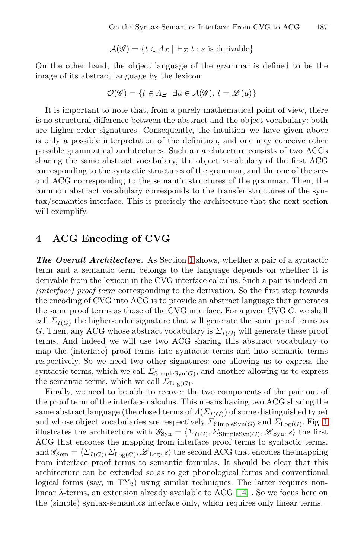$$
\mathcal{A}(\mathscr{G}) = \{ t \in \Lambda_{\Sigma} \mid \vdash_{\Sigma} t : s \text{ is derivable} \}
$$

On the other hand, the object language of the grammar is defined to be the image of its abstract language by the lexicon:

$$
\mathcal{O}(\mathscr{G}) = \{ t \in \Lambda_{\Xi} \mid \exists u \in \mathcal{A}(\mathscr{G}). \ t = \mathscr{L}(u) \}
$$

<span id="page-5-0"></span>It is important to note that, from a purely mathematical point of view, there is no structural difference between the abstract and the object vocabulary: both are higher-order signatures. Consequently, the intuition we have given above is only a possible interpretation of the definition, and one may conceive other possible grammatical architectures. Such an architecture consists of two ACGs sharing the same abstract vocabulary, the object vocabulary of the first ACG corresponding to the syntactic structures of the grammar, and the one of the second ACG correspondi[ng](#page-1-0) to the semantic structures of the grammar. Then, the common abstract vocabulary corresponds to the transfer structures of the syntax/semantics interface. This is precisely the architecture that the next section will exemplify.

## **4 ACG Encoding of CVG**

*The Overall Architecture.* As Section 1 shows, whether a pair of a syntactic term and a semantic term belongs to the language depends on whether it is derivable from the lexicon in the CVG interface calculus. Such a pair is indeed an *(interface) proof term* corresponding to the derivation. So the first step towards the encoding of CVG into ACG is to provide an abstract language that generates the same proof terms as those of the CVG interface. For a given CVG  $G$ , we shall call  $\Sigma_{I(G)}$  the higher-order signature that will generate the same proof terms as G. Then, any ACG whose abstract vocabulary is  $\Sigma_{I(G)}$  will generate these proof terms. And indeed we will use two ACG sharing this ab[str](#page-6-0)act vocabulary to map the (interface) proof terms into syntactic terms and into semantic terms respectively. So we need two other signatures: one allowing us to express the syntactic terms, which we call  $\Sigma_{\text{SimpleSyn}(G)}$ , and another allowing us to express the semantic terms, which we call  $\Sigma_{Log(G)}$ .

Finally, we need to be able to recover the two components of the pair out of the proof term of the interface calculus. This means having two ACG sharing the same abstract language (the closed t[erm](#page-10-5)s of  $\Lambda(\Sigma_{I(G)})$  of some distinguished type) and whose object vocabularies are respectively  $\Sigma_{\text{SimpleSvn}(G)}$  and  $\Sigma_{\text{Log}(G)}$ . Fig. 1 illustrates the architecture with  $\mathscr{G}_{\text{Syn}} = \langle \Sigma_{I(G)}, \Sigma_{\text{SimpleSyn}(G)}, \mathscr{L}_{\text{Syn}}, s \rangle$  the first ACG that encodes the mapping from interface proof terms to syntactic terms, and  $\mathscr{G}_{Sem} = \langle \Sigma_{I(G)}, \Sigma_{Log(G)}, \mathscr{L}_{Log}, s \rangle$  the second ACG that encodes the mapping from interface proof terms to semantic formulas. It should be clear that this architecture can be extended so as to get phonological forms and conventional logical forms (say, in  $TY_2$ ) using similar techniques. The latter requires nonlinear  $\lambda$ -terms, an extension already available to ACG [14]. So we focus here on the (simple) syntax-semantics interface only, which requires only linear terms.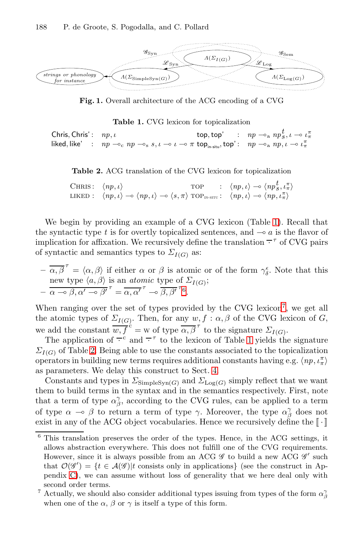<span id="page-6-0"></span>

<span id="page-6-1"></span>**Fig. 1.** Overall architecture of the ACG encoding of a CVG

**Table 1.** CVG lexicon for topicalization

Chris, Chris':  $np, \iota$ <br>
t[op](#page-6-1), top' :  $np \rightarrow_a np_s^t, \iota \rightarrow \iota_\pi^{\pi}$ <br>
liked, like' :  $np \rightarrow_c np \rightarrow_s s, \iota \rightarrow \iota \rightarrow \pi$  top<sub>in-situ</sub>, top':  $np \rightarrow_a np, \iota \rightarrow \iota_\pi^{\pi}$ liked, like' :

**Table 2.** ACG translation of the CVG lexicon for topicalization

| CHRIS: $\langle np, \iota \rangle$ |                                                                                                                                                                                        | <b>TOP</b> | $\therefore$ $\langle np, \iota \rangle \rightarrow \langle np_S^t, \iota_\pi \rangle$ |
|------------------------------------|----------------------------------------------------------------------------------------------------------------------------------------------------------------------------------------|------------|----------------------------------------------------------------------------------------|
|                                    | LIKED: $\langle np, \iota \rangle \to \langle np, \iota \rangle \to \langle s, \pi \rangle$ TOP <sub>IN-SITU</sub> : $\langle np, \iota \rangle \to \langle np, \iota_n^{\pi} \rangle$ |            |                                                                                        |

We begin by providing an example of a CVG lexicon (Table 1). Recall that the syntactic type  $t$  is for overtly topicalized se[nte](#page-6-2)nces, and  $\sim a$  is the flavor of implication for affixation. We recursively define the translation  $\overline{\tau}^{\tau}$  of CVG pairs of syntactic and semantics types to  $\Sigma_{I(G)}$  as:

$$
-\overline{\alpha,\beta}^{\tau} = \langle \alpha, \beta \rangle \text{ if either } \alpha \text{ or } \beta \text{ is atomic or of the form } \gamma_{\delta}^{\epsilon}. \text{ Note that this}
$$
  
new type  $\langle a, \beta \rangle$  is an *atomic* type of  $\Sigma_{I(G)}$ ;  

$$
-\overline{\alpha \rightarrow \beta, \alpha' \rightarrow \beta'}^{\tau} = \overline{\alpha, \alpha'}^{\tau} \rightarrow \overline{\beta, \beta'}^{\tau}^6.
$$

When ranging over the set of types provided by the CVG lexicon<sup>7</sup>, we get all the atomic types of  $\Sigma_{I(G)}$ . Then, for any  $w, f : \alpha, \beta$  of the CVG lexicon of G, we add the constant  $\overline{w, f}^c = w$  of type  $\overline{\alpha, \beta}^{\tau}$  to the signature  $\Sigma_{I(G)}$ .

The application of  $\overline{\cdot}^c$  and  $\overline{\cdot}^r$  to the lexicon of Table 1 yields the signature  $\Sigma_{I(G)}$  of Table 2. Being able to use the constants associated to the topicalization operators in building new terms requires additional constants having e.g.  $\langle np, \iota_n^{\pi} \rangle$ as parameters. We delay this construct to Sect. 4.

Constants and types in  $\Sigma_{\text{SimpleSyn}(G)}$  and  $\Sigma_{\text{Log}(G)}$  simply reflect that we want them to build terms in the syntax and in the semantics respectively. First, note that a term of type  $\alpha_{\beta}^{\gamma}$ , according to the CVG rules, can be applied to a term of type  $\alpha \to \beta$  to return a term of type  $\gamma$ . Moreover, the type  $\alpha_{\beta}^{\gamma}$  does not exist in any of the ACG object vocabularies. Hence we recursively define the  $\llbracket \cdot \rrbracket$ 

<span id="page-6-2"></span><sup>6</sup> This translation preserves the order of the types. Hence, in the ACG settings, it allows abstraction everywhere. This does not fulfill one of the CVG requirements. However, since it is always possible from an ACG  $\mathscr G$  to build a new ACG  $\mathscr G'$  such that  $\mathcal{O}(\mathscr{G}') = \{t \in \mathcal{A}(\mathscr{G}) | t$  consists only in applications} (see the construct in Appendix C), we can assume without loss of generality that we here deal only with second order terms.

<sup>&</sup>lt;sup>7</sup> Actually, we should also consider additional types issuing from types of the form  $\alpha_{\beta}^{\gamma}$ when one of the  $\alpha$ ,  $\beta$  or  $\gamma$  is itself a type of this form.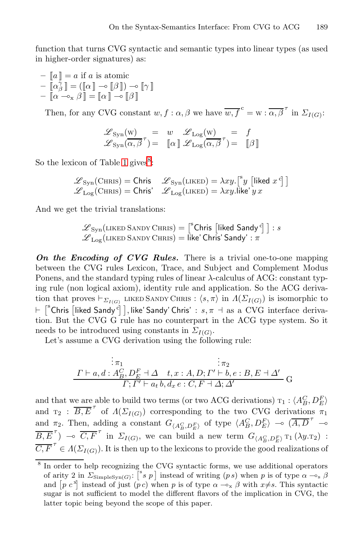function that turns CVG syntactic and semantic types into linear types (as used in higher-order signatures) as:

- 
$$
\llbracket a \rrbracket = a
$$
 if  $a$  is atomic  
-  $\llbracket \alpha_{\beta}^{\gamma} \rrbracket = (\llbracket \alpha \rrbracket \neg \varphi \llbracket \beta \rrbracket) \neg \varphi \llbracket \gamma \rrbracket$   
-  $\llbracket \alpha \neg \neg_{\mathbf{x}} \beta \rrbracket = \llbracket \alpha \rrbracket \neg \varphi \llbracket \beta \rrbracket$ 

Then, for any CVG constant  $w, f : \alpha, \beta$  we have  $\overline{w, f}^c = w : \overline{\alpha, \beta}^\tau$  in  $\Sigma_{I(G)}$ :

$$
\begin{array}{rcl}\n\mathscr{L}_{\text{Syn}}(\mathbf{w}) & = & w & \mathscr{L}_{\text{Log}}(\mathbf{w}) & = & f \\
\mathscr{L}_{\text{Syn}}(\alpha, \beta^{\tau}) & = & [\![\alpha]\!] & \mathscr{L}_{\text{Log}}(\alpha, \beta^{\tau}) & = & [\![\beta]\!] \n\end{array}
$$

<span id="page-7-0"></span>So the lexicon of Table 1 gives<sup>8</sup>:

$$
\mathscr{L}_{\text{Syn}}(\text{CHRIS}) = \text{Chris} \quad \mathscr{L}_{\text{Syn}}(\text{LIKED}) = \lambda xy. \left[ \begin{matrix} ^8 y \\ ^8 y \end{matrix} \right] [\text{iked } x^c] \big] \\ \mathscr{L}_{\text{Log}}(\text{CHRIS}) = \text{Chris}' \quad \mathscr{L}_{\text{Log}}(\text{LIKED}) = \lambda xy. \text{like'} y \, x
$$

And we get the trivial translations:

$$
\mathscr{L}_{\text{Syn}}(\text{LIKED SANDY CHRIS}) = \left[ \begin{matrix} ^{\text{B}} \text{Chris} & \text{[likelihood Sandy}^{\text{c}} \end{matrix} \right] : s
$$
\n
$$
\mathscr{L}_{\text{Log}}(\text{LIKED SANDY CHRIS}) = \text{like' Chris'} \text{Sandy'} : \pi
$$

*On the Encoding of CVG Rules.* There is a trivial one-to-one mapping between the CVG rules Lexicon, Trace, and Subject and Complement Modus Ponens, and the standard typing rules of linear λ-calculus of ACG: constant typing rule (non logical axiom), identity rule and application. So the ACG derivation that proves  $\vdash_{\Sigma_{I(G)}}$  LIKED SANDY CHRIS :  $\langle s, \pi \rangle$  in  $\Lambda(\Sigma_{I(G)})$  is isomorphic to  $\vdash \; \lceil^s\mathsf{Chris}\; \lceil$ liked Sandy' $\bar{\mathsf{c}}\rceil$ , like' Sandy' Chris' :  $s,\pi\dashv \text{as a CVG}$  interface derivation. But the CVG G rule has no counterpart in the ACG type system. So it needs to be introduced using constants in  $\Sigma_{I(G)}$ .

Let's assume a CVG derivation using the following rule:

$$
\begin{array}{cccc}\n&\vdots & \pi_1 & \pi_2 \\
\Gamma \vdash a, d: A_B^C, D_E^F \dashv \Delta & t, x:A, D; \Gamma' \vdash b, e:B, E \dashv \Delta' \\
&\Gamma; \Gamma' \vdash a_t b, d_x e:C, F \dashv \Delta; \Delta'\n\end{array} \big\}.
$$

<span id="page-7-1"></span>and that we are able to build two terms (or two ACG derivations)  $\tau_1$  :  $\langle A_B^C, D_E^F \rangle$ and  $T_2$ :  $\overline{B,E}^{\tau}$  of  $\Lambda(\Sigma_{I(G)})$  corresponding to the two CVG derivations  $\pi_1$ and  $\pi_2$ . Then, adding a constant  $G_{\langle A_E^C, D_E^F \rangle}$  of type  $\langle A_B^C, D_E^F \rangle$   $\sim (\overline{A}, \overline{D}^{\tau} \sim)$  $\overline{B,E}^{\tau}$   $\rightarrow$   $\overline{C,F}^{\tau}$  in  $\Sigma_{I(G)}$ , we can build a new term  $G_{\langle A_B^C, D_E^F \rangle}$   $\tau_1(\lambda y.\tau_2)$ :  $\overline{C, F}^{\tau} \in A(\Sigma_{I(G)})$ . It is then up to the lexicons to provide the good realizations of

<sup>&</sup>lt;sup>8</sup> In order to help recognizing the CVG syntactic forms, we use additional operators of arity 2 in  $\Sigma_{\text{SimpleSyn}(G)}$ :  $\begin{bmatrix} s & p \end{bmatrix}$  instead of writing  $(p s)$  when p is of type  $\alpha \rightarrow s$   $\beta$ and  $[p \ c^x]$  instead of just  $(p \ c)$  when p is of type  $\alpha \rightarrow_{\alpha} \beta$  with  $x \neq s$ . This syntactic sugar is not sufficient to model the different flavors of the implication in CVG, the latter topic being beyond the scope of this paper.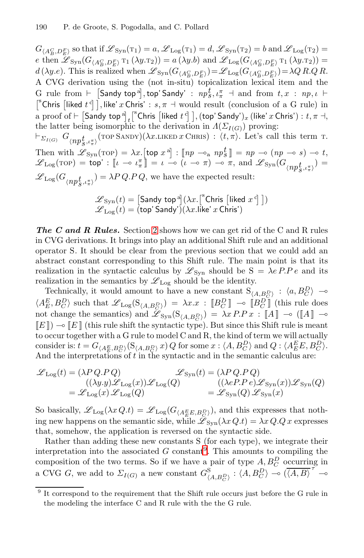$G_{(A_B^C, D_E^F)}$  so that if  $\mathscr{L}_{\text{Syn}}(\tau_1) = a, \mathscr{L}_{\text{Log}}(\tau_1) = d, \mathscr{L}_{\text{Syn}}(\tau_2) = b$  and  $\mathscr{L}_{\text{Log}}(\tau_2) =$ e then  $\mathscr{L}_{\text{Syn}}(G_{\langle A_B^C, D_E^F \rangle} \tau_1(\lambda y.\tau_2)) = a(\lambda y.b)$  and  $\mathscr{L}_{\text{Log}}(G_{\langle A_B^C, D_E^F \rangle} \tau_1(\lambda y.\tau_2)) =$  $d(\lambda y.e)$ . This is realized when  $\mathscr{L}_{\text{Syn}}(G_{\langle A_B^C, D_E^F \rangle}) = \mathscr{L}_{\text{Log}}(G_{\langle A_B^C, D_E^F \rangle}) = \lambda Q R.Q R$ . A CVG derivation using the (not in-situ) topicalization lexical item and the G rule from  $\vdash$   $[$ Sandy top<sup>a</sup> $],$ top' Sandy' :  $np_s^t$ ,  $\iota_\pi^\pi$   $\dashv$  and from  $t, x : np, \iota$   $\vdash$ <sup>S</sup>Chris [liked  $t^c$ ], like' x Chris' :  $s, \pi$  + would result (conclusion of a G rule) in a proof of  $\vdash$   $[$ Sandy top  $a]$ <sub>t</sub> $[$ <sup>s</sup>Chris  $[$ liked  $t$ <sup>c</sup> $]$ , (top' Sandy')<sub>x</sub> (like' x Chris') :  $t, \pi$   $\dashv$ , the latter being isomorphic to the derivation in  $\Lambda(\Sigma_{I(G)})$  proving:  $\vdash_{\Sigma_{I(G)}} G_{\langle np\frac{t}{S},\iota_{\pi}^{\pi}\rangle}(\text{top} \text{SANDY})(\lambda x.\text{LIKED }x \text{ CHRIS}) : \langle t,\pi\rangle.$  Let's call this term t.

<span id="page-8-0"></span>Then with  $\mathscr{L}_{\text{Syn}}(\text{top}) = \lambda x.$  $\mathscr{L}_{\text{Syn}}(\text{top}) = \lambda x.$  $\mathscr{L}_{\text{Syn}}(\text{top}) = \lambda x.$  [top  $x^{\text{a}}$ ] :  $[\![np \sim_{\text{a}} np_s^t]\!] = np \sim (np \sim s) \sim t$ ,  $\mathscr{L}_{\text{Log}}(\text{rop}) = \text{top}' : \llbracket \iota - \iota \frac{\pi}{\mathfrak{n}} \rrbracket = \iota - \circ (\iota - \circ \pi) - \circ \pi, \text{ and } \mathscr{L}_{\text{Syn}}(G_{\langle np\frac{\iota}{\mathfrak{h}}, \iota \frac{\pi}{\mathfrak{h}}}) =$  $\mathscr{L}_{\text{Log}}(G_{\langle np^t_{S}, \iota_{\pi}^{\pi}\rangle}) = \lambda P\,Q.P\,Q,$  we have the expected result:

$$
\begin{array}{l} \mathscr{L}_{\text{Syn}}(t) = \left[\text{Sandy top}^{\text{a}}\right]\!(\lambda x . \left[^{\text{s}}\text{Chris}\left[\text{liked }x^{\text{c}}\right]\right]) \\ \mathscr{L}_{\text{Log}}(t) = \left(\text{top}'\,\text{Sandy}'\right)\!(\lambda x . \text{like}'\,x \,\text{Chris}'\right) \end{array}
$$

*The C and R Rules.* Section 2 shows how we can get rid of the C and R rules in CVG derivations. It brings into play an additional Shift rule and an additional operator S. It should be clear from the previous section that we could add an abstract constant corresponding to this Shift rule. The main point is that its realization in the syntactic calculus by  $\mathscr{L}_{\text{Syn}}$  should be  $S = \lambda e P.P e$  and its realization in the semantics by  $\mathscr{L}_{\text{Log}}$  should be the identity.

Technically, it would amount to have a new constant  $S_{(A, B_C^D)} : \langle a, B_C^D \rangle \longrightarrow$  $\langle A_E^E, B_C^D \rangle$  such that  $\mathscr{L}_{\text{Log}}(\mathcal{S}_{\langle A, B_C^D \rangle}) = \lambda x . x : [B_C^D] \multimap [B_C^D]$  (this rule does not change the semantics) and  $\mathscr{L}_{\text{Syn}}(\mathbf{S}_{(A,B_C^D)}) = \lambda x P.P x : \llbracket A \rrbracket \multimap (\llbracket A \rrbracket \multimap$  $[[E]]$   $\rightarrow$   $[[E]]$  (this rule shift the syntactic type). But since this Shift rule is meant to occur together with a G rule to model C and R, the kind of term we will actually consider is:  $t = G_{\langle A_E^E, B_C^D \rangle}(\mathcal{S}_{\langle A, B_C^D \rangle} x) Q$  for some  $x : \langle A, B_C^D \rangle$  and  $Q : \langle A_E^E E, B_C^D \rangle$ . And the interpretations of t in the syntactic and in the semantic calculus are:

$$
\begin{array}{ll} \mathscr{L}_{\text{Log}}(t) = (\lambda P \, Q.\ \! P \, Q) & \mathscr{L}_{\text{Syn}}(t) = (\lambda P \, Q.\ \! P \, Q) \\ & \hspace*{2.5mm} ((\lambda y.y) \mathscr{L}_{\text{Log}}(x)) \mathscr{L}_{\text{Log}}(Q) & \hspace*{3.5mm} ((\lambda e P.\ \! P \, e) \mathscr{L}_{\text{Syn}}(x)) \mathscr{L}_{\text{Syn}}(Q) \\ & \hspace*{3.5mm} = \mathscr{L}_{\text{Log}}(x) \, \mathscr{L}_{\text{Log}}(Q) & \hspace*{3.5mm} = \mathscr{L}_{\text{Syn}}(Q) \, \mathscr{L}_{\text{Syn}}(x) \end{array}
$$

<span id="page-8-1"></span>So basically,  $\mathscr{L}_{\text{Log}}(\lambda x Q.t) = \mathscr{L}_{\text{Log}}(G_{\langle A_E^E E, B_C^D \rangle})$ , and this expresses that nothing new happens on the semantic side, while  $\mathscr{L}_{Svn}(\lambda x Q,t) = \lambda x Q.Q x$  expresses that, somehow, the application is reversed on the syntactic side.

Rather than adding these new constants S (for each type), we integrate their interpretation into the associated G constant<sup>9</sup>. This amounts to compiling the composition of the two terms. So if we have a pair of type  $A, B_C^D$  occurring in a CVG G, we add to  $\Sigma_{I(G)}$  a new constant  $G^{\rm S}_{\langle A,B^D_C \rangle}$  :  $\langle A,B^D_C \rangle \sim (\overline{\langle A,B \rangle}^{\tau} \sim$ 

<sup>&</sup>lt;sup>9</sup> It correspond to the requirement that the Shift rule occurs just before the G rule in the modeling the interface C and R rule with the the G rule.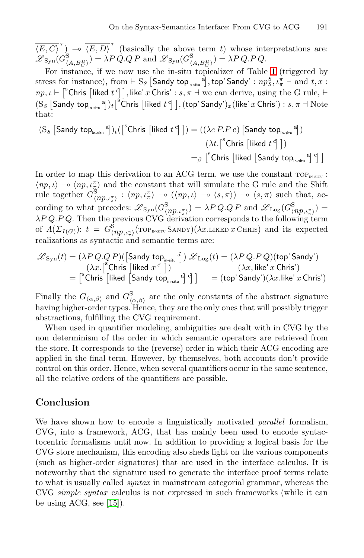$\overline{\langle E, C \rangle}^{\tau}$   $\rightarrow$   $\overline{\langle E, D \rangle}^{\tau}$  (basically the above term t) whose interpretations are:  $\mathscr{L}_{\text{Syn}}(G^{\text{S}}_{\langle A, B^D_C \rangle}) = \lambda P \hat{Q}.QP \text{ and } \mathscr{L}_{\text{Syn}}(G^{\text{S}}_{\langle A, B^D_C \rangle}) = \lambda P \hat{Q}.P \hat{Q}.$ 

For instance, if we now use the in-situ topicalizer of Table 1 (triggered by  $s$ tress for instance), from  $\vdash S_s$   $[$ Sandy top<sub>in-situ</sub>  $a]$ , top' Sandy' :  $np_s^s$ ,  $\iota_\pi^{\pi}$   $\dashv$  and  $t,x$  :  $np, \iota \vdash \lceil^s$ Chris  $\lceil$ liked  $t^c \rceil$ , like' x Chris' :  $s, \pi \dashv$  we can derive, using the G rule,  $\vdash$  $(S_s$   $[$ Sandy top<sub>in-situ</sub> a] $)_t$ <sup>[ $\frac{s}{2}$ </sup>Chris  $[$ liked  $t$ <sup>c</sup>] $]$ , (top' Sandy')<sub>x</sub>(like' x Chris') :  $s, \pi \dashv$  Note that:

$$
(S_{\mathcal{S}} \left[ \mathsf{Sandy top}_{\mathsf{in-situ}}^{a} \right])_{t} \left( \left[ \begin{array}{c} \mathrm{s}{\sf Chris} \left[ \mathsf{liked} \ t^{c} \right] \right] \right) = \left( \left( \lambda e \ P. P \ e \right) \left[ \mathsf{Sandy top}_{\mathsf{in-situ}}^{a} \right] \right) \\\\ \left( \lambda t \cdot \left[ \begin{array}{c} \mathrm{s}{\sf Chris} \left[ \mathsf{liked} \ t^{c} \right] \right] \right) \\\\ =_{\beta} \left[ \begin{array}{c} \mathrm{s}{\sf Chris} \left[ \mathsf{liked} \left[ \mathsf{Sandy top}_{\mathsf{in-situ}}^{a} \right]^{c} \right] \end{array} \right] \end{array}
$$

In order to map this derivation to an ACG term, we use the constant  $TOP_{\text{IN-SITU}}$ :  $\langle np, \iota \rangle \to \langle np, \iota_{\pi}^{\pi} \rangle$  and the constant that will simulate the G rule and the Shift rule together  $G^{\rm S}_{\langle np,\iota_n^{\pi}\rangle}$  :  $\langle np,\iota_n^{\pi}\rangle \to \langle np,\iota \rangle \to \langle s,\pi \rangle \to \langle s,\pi \rangle$  such that, according to what precedes:  $\mathscr{L}_{\text{Syn}}(G_{\langle np,\iota_n^{\pi}\rangle}^{\mathcal{S}}) = \lambda P Q.Q P$  and  $\mathscr{L}_{\text{Log}}(G_{\langle np,\iota_n^{\pi}\rangle}^{\mathcal{S}}) =$  $\lambda P Q.P.Q.$  Then the previous CVG derivation corresponds to the following term of  $\Lambda(\Sigma_{I(G)})$ :  $t = G^{\rm S}_{\langle np,\iota^{\pi}_\pi\rangle}(\text{top}_{\text{IN-SITU}} \text{SANDY})(\lambda x.\text{LIKED }x \text{ CHRIS})$  and its expected realizations as syntactic and semantic terms are:

$$
\begin{array}{ll} \mathscr{L}_{\text{Syn}}(t) = (\lambda P\,Q.Q\,P)(\big[\text{Sandy top}_{\text{i}\text{-s}\text{iu}}^{\text{a}}\big]\big)\,\mathscr{L}_{\text{Log}}(t) = (\lambda P\,Q.P\,Q)(\text{top}'\,\text{Sandy}')\\ & \qquad \qquad (\lambda x.\big[^{\text{s}}\text{Chris}\,\big[\text{liked}\,\,x^{\,\text{c}}\big]\,\big])\\ & = \big[^{\text{s}}\text{Chris}\,\big[\text{liked}\,\big[\text{Sandy top}_{\text{i}\text{-s}\text{iu}}^{\text{a}}\big]\,^\text{d}\big]\big] & = (\text{top}'\,\text{Sandy}')(\lambda x.\text{like}'\,x\,\text{Chris}') \end{array}
$$

Finally the  $G_{\langle\alpha,\beta\rangle}$  and  $G_{\langle\alpha,\beta\rangle}^S$  are the only constants of the abstract signature having higher-order types. Hence, they are the only ones that will possibly trigger abstractions, fulfilling the CVG requirement.

When used in quantifier modeling, ambiguities are dealt with in CVG by the non determinism of the order in which semantic operators are retrieved from the store. It corresponds to the (reverse) order in which their ACG encoding are applied in the final term. However, by themselves, both accounts don't provide control on this order. Hence, when several quantifiers occur in the same sentence, all the relative orders of the quantifiers are possible.

## **Conclusion**

[We](#page-10-6) have shown how to encode a linguistically motivated *parallel* formalism, CVG, into a framework, ACG, that has mainly been used to encode syntactocentric formalisms until now. In addition to providing a logical basis for the CVG store mechanism, this encoding also sheds light on the various components (such as higher-order signatures) that are used in the interface calculus. It is noteworthy that the signature used to generate the interface proof terms relate to what is usually called *syntax* in mainstream categorial grammar, whereas the CVG *simple syntax* calculus is not expressed in such frameworks (while it can be using ACG, see [15]).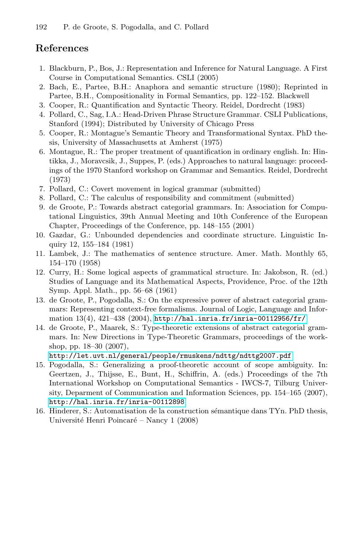## <span id="page-10-0"></span>**References**

- 1. Blackburn, P., Bos, J.: Representation and Inference for Natural Language. A First Course in Computational Semantics. CSLI (2005)
- 2. Bach, E., Partee, B.H.: Anaphora and semantic structure (1980); Reprinted in Partee, B.H., Compositionality in Formal Semantics, pp. 122–152. Blackwell
- 3. Cooper, R.: Quantification and Syntactic Theory. Reidel, Dordrecht (1983)
- <span id="page-10-2"></span>4. Pollard, C., Sag, I.A.: Head-Driven Phrase Structure Grammar. CSLI Publications, Stanford (1994); Distributed by University of Chicago Press
- 5. Cooper, R.: Montague's Semantic Theory and Transformational Syntax. PhD thesis, University of Massachusetts at Amherst (1975)
- <span id="page-10-3"></span><span id="page-10-1"></span>6. Montague, R.: The proper treatment of quantification in ordinary english. In: Hintikka, J., Moravcsik, J., Suppes, P. (eds.) Approaches to natural language: proceedings of the 1970 Stanford workshop on Grammar and Semantics. Reidel, Dordrecht (1973)
- <span id="page-10-4"></span>7. Pollard, C.: Covert movement in logical grammar (submitted)
- 8. Pollard, C.: The calculus of responsibility and commitment (submitted)
- 9. de Groote, P.: Towards abstract categorial grammars. In: Association for Computational Linguistics, 39th Annual Meeting and 10th Conference of the European Chapter, Proceedings of the Conference, pp. 148–155 (2001)
- 10. Gazdar, [G.: Unbounded dependencies and coordinate](http://hal.inria.fr/inria-00112956/fr/) structure. Linguistic Inquiry 12, 155–184 (1981)
- <span id="page-10-5"></span>11. Lambek, J.: The mathematics of sentence structure. Amer. Math. Monthly 65, 154–170 (1958)
- <span id="page-10-6"></span>12. Curry, H.: Some logical aspects of grammatical structure. In: Jakobson, R. (ed.) [Studies](http://let.uvt.nl/general/people/rmuskens/ndttg/ndttg2007.pdf) [of](http://let.uvt.nl/general/people/rmuskens/ndttg/ndttg2007.pdf) [Language](http://let.uvt.nl/general/people/rmuskens/ndttg/ndttg2007.pdf) [and](http://let.uvt.nl/general/people/rmuskens/ndttg/ndttg2007.pdf) [its](http://let.uvt.nl/general/people/rmuskens/ndttg/ndttg2007.pdf) [Mathematical](http://let.uvt.nl/general/people/rmuskens/ndttg/ndttg2007.pdf) [Aspects,](http://let.uvt.nl/general/people/rmuskens/ndttg/ndttg2007.pdf) Providence, Proc. of the 12th Symp. Appl. Math., pp. 56–68 (1961)
- 13. de Groote, P., Pogodalla, S.: On the expressive power of abstract categorial grammars: Representing context-free formalisms. Journal of Logic, Language and Information  $13(4)$ ,  $421-438$   $(2004)$ ,  $http://hal.inria.fr/inria-00112956/fr/$
- [14.](http://hal.inria.fr/inria-00112898) [de](http://hal.inria.fr/inria-00112898) [Groote,](http://hal.inria.fr/inria-00112898) [P.,](http://hal.inria.fr/inria-00112898) [Maar](http://hal.inria.fr/inria-00112898)ek, S.: Type-theoretic extensions of abstract categorial grammars. In: New Directions in Type-Theoretic Grammars, proceedings of the workshop, pp. 18–30 (2007),

http://let.uvt.nl/general/people/rmuskens/ndttg/ndttg2007.pdf

- 15. Pogodalla, S.: Generalizing a proof-theoretic account of scope ambiguity. In: Geertzen, J., Thijsse, E., Bunt, H., Schiffrin, A. (eds.) Proceedings of the 7th International Workshop on Computational Semantics - IWCS-7, Tilburg University, Deparment of Communication and Information Sciences, pp. 154–165 (2007), http://hal.inria.fr/inria-00112898
- 16. Hinderer, S.: Automatisation de la construction sémantique dans TYn. PhD thesis, Université Henri Poincaré – Nancy 1 (2008)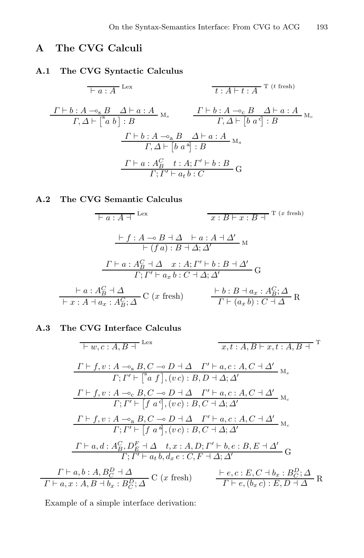## **A The CVG Calculi**

## **A.1 The CVG Syntactic Calculus**

$$
\frac{\Gamma \vdash b : A \rightharpoonup c_{\rm s} B \quad \Delta \vdash a : A \quad \text{if } t : A \rightharpoonup t : A \quad \text{T (t fresh)}
$$
\n
$$
\frac{\Gamma \vdash b : A \rightharpoonup c_{\rm s} B \quad \Delta \vdash a : A}{\Gamma, \Delta \vdash [a b] : B} \quad \frac{\Gamma \vdash b : A \rightharpoonup c_{\rm s} B \quad \Delta \vdash a : A}{\Gamma, \Delta \vdash [b a^a] : B} \quad \text{and}
$$
\n
$$
\frac{\Gamma \vdash b : A \rightharpoonup a B \quad \Delta \vdash a : A}{\Gamma, \Delta \vdash [b a^a] : B} \quad \text{and}
$$
\n
$$
\frac{\Gamma \vdash a : A_B^C \quad t : A; \Gamma' \vdash b : B}{\Gamma; \Gamma' \vdash a_t b : C} \quad \text{or}
$$

$$
\frac{\Box a:A\bot \text{Lex}}{\Box f:A\ \rightarrow B\ \bot \Delta \ \vdash a:A\ \bot \Delta'}\ \frac{\Box f:A\ \rightarrow B\ \bot \Delta \ \vdash a:A\ \bot \Delta'}{\Box f(a):B\ \bot \Delta; \Delta'}
$$
\n
$$
\frac{\Gamma\vdash a:A_B^C\ \bot \Delta \quad x:A; \Gamma'\vdash b:B\ \bot \Delta'}{\Gamma;\Gamma'\vdash a_xb:C\ \bot \Delta; \Delta'} \text{G}
$$
\n
$$
\frac{\vdash a:A_B^C\ \bot \Delta}{\Box f:A\ \bot a_x:A_B^C;\Delta} \text{C} \text{ (}x \text{ fresh}) \qquad \frac{\vdash b:B\ \bot a_x:A_B^C;\Delta}{\Gamma\vdash (a_xb):C\ \bot \Delta} \text{R}
$$

 $\overline{\phantom{a}}$ 

$$
F(w, c:A, B + \text{Lex} \qquad x, t:A, B \vdash x, t:A, B + \text{T}
$$
\n
$$
\frac{\Gamma \vdash f, v:A \multimap_{s} B, C \multimap D \dashv \Delta \quad \Gamma' \vdash a, c:A, C \dashv \Delta'}{\Gamma; \Gamma' \vdash [{}^{s}a f], (v c) : B, D \dashv \Delta; \Delta'}
$$
\n
$$
\frac{\Gamma \vdash f, v:A \multimap_{c} B, C \multimap D \dashv \Delta \quad \Gamma' \vdash a, c:A, C \dashv \Delta'}{\Gamma; \Gamma' \vdash [f a^{d}], (v c) : B, C \dashv \Delta; \Delta'} \text{M}_{c}
$$
\n
$$
\frac{\Gamma \vdash f, v:A \multimap_{a} B, C \multimap D \dashv \Delta \quad \Gamma' \vdash a, c:A, C \dashv \Delta'}{\Gamma; \Gamma' \vdash [f a^{d}], (v c) : B, C \dashv \Delta; \Delta'} \text{M}_{c}
$$
\n
$$
\frac{\Gamma \vdash a, d: A_{B}^{C}, D_{E}^{F} \dashv \Delta \quad t, x:A, D; \Gamma' \vdash b, e:B, E \dashv \Delta'}{\Gamma; \Gamma' \vdash a, b, d_{x} e:C, F \dashv \Delta; \Delta'} \text{G}
$$
\n
$$
\frac{\Gamma \vdash a, b:A, B_{C}^{D} \dashv \Delta}{\Gamma \vdash a, x:A, B \dashv b, c:B, C \dashv \Delta} \text{C} (x \text{ fresh}) \qquad \frac{\vdash e, c:E, C \dashv b_{x}: B_{C}^{D}; \Delta}{\Gamma \vdash e, (b_{x} c): E, D \dashv \Delta} \text{R}
$$

Example of a simple interface derivation: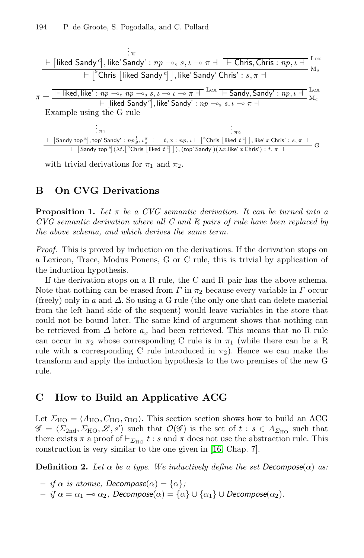

with trivial derivations for  $\pi_1$  and  $\pi_2$ .

## **B On CVG Derivations**

**Proposition 1.** *Let* <sup>π</sup> *be a CVG semantic derivation. It can be turned into a CVG semantic derivation where all C and R pairs of rule have been replaced by the above schema, and which derives the same term.*

*Proof.* This is proved by induction on the derivations. If the derivation stops on a Lexicon, Trace, Modus Ponens, G or C rule, this is trivial by application of the induction hypothesis.

If the derivation stops on a R rule, the C and R pair has the above schema. Note that nothing can be erased from  $\Gamma$  in  $\pi_2$  because every variable in  $\Gamma$  occur (freely) only in a and  $\Delta$ . So using a G rule (the only one that can delete material from the left hand side of the sequent) would leave variables in the store that could not be bound later. The same kind of argument shows that nothing can be retrieved from  $\Delta$  before  $a_x$  had been retrieved. This means that no R rule can occur in  $\pi_2$  whose corresponding C rule is in  $\pi_1$  (while there can be a R rule with a corresponding C rule introduced in  $\pi_2$ ). Hence we can make the transform and apply the induction hypothesis to the two premises of the new G rule.

## **C How to Build an Applicative ACG**

Let  $\Sigma_{\text{HO}} = \langle A_{\text{HO}}, C_{\text{HO}}, \tau_{\text{HO}} \rangle$ . This section section shows how to build an ACG  $\mathscr{G} = \langle \Sigma_{2nd}, \Sigma_{HO}, \mathscr{L}, s' \rangle$  such that  $\mathcal{O}(\mathscr{G})$  is the set of  $t : s \in \Lambda_{\Sigma_{HO}}$  such that there exists  $\pi$  a proof of  $\vdash_{\Sigma_{\text{HO}}} t : s$  and  $\pi$  does not use the abstraction rule. This construction is very similar to the one given in [16, Chap. 7].

**Definition 2.** Let  $\alpha$  be a type. We inductively define the set  $Decompose(\alpha)$  as:

- $-$  *if*  $\alpha$  *is atomic, Decompose* $(\alpha) = {\alpha}$ ;
- $-$  *if*  $\alpha = \alpha_1 − ∘ \alpha_2$ , Decompose $(α) = {α} ∪ {α_1} ∪$  Decompose $(α_2)$ .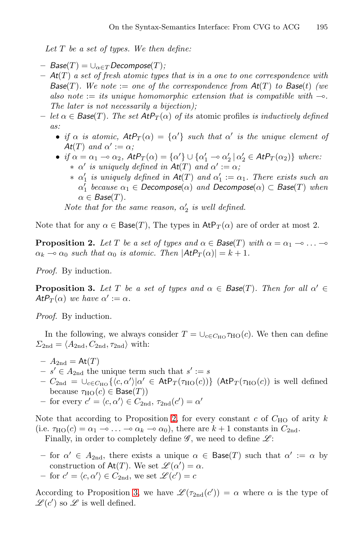*Let* T *be a set of types. We then define:*

- $-$  *Base*(*T*) =  $\cup_{\alpha \in T}$ *Decompose*(*T*);
- $At(T)$  *a set of fresh atomic types that is in a one to one correspondence with Base*(*T*)*. We note*  $:=$  *one of the correspondence from At*(*T*) *to Base*(*t*) *(we* also note  $:=$  *its unique homomorphic extension that is compatible with*  $\sim$ . *The later is not necessarily a bijection);*
- <span id="page-13-0"></span> $-\text{let } \alpha \in \text{Base}(T)$ . The set  $\text{AtP}_T(\alpha)$  of its atomic profiles is inductively defined *as:*
	- *if*  $\alpha$  *is atomic,*  $AtP_T(\alpha) = {\alpha'}$  *such that*  $\alpha'$  *is the unique element of At*(*T*) *and*  $\alpha' := \alpha$ ;
	- *if*  $\alpha = \alpha_1 \to \alpha_2$ ,  $AtP_T(\alpha) = {\alpha'} \cup {\alpha'_1 \to \alpha'_2 \mid \alpha'_2 \in AtP_T(\alpha_2)}$  *where:*
	- $\alpha'$  *is uniquely defined in*  $At(T)$  *and*  $\alpha' := \alpha$ ;
		- $\alpha'$  *is uniquely defined in*  $At(T)$  *and*  $\alpha'$ <sub>1</sub> :=  $\alpha$ <sub>1</sub>*. There exists such an*  $\alpha'_1$  *because*  $\alpha_1 \in$  *Decompose* $(\alpha)$  *and*  $\widehat{Decompose}(\alpha) \subset$  *Base* $(T)$  *when*  $\alpha \in \text{Base}(T)$ .

*Note that for the same reason,*  $\alpha'_2$  *is well defined.* 

<span id="page-13-1"></span>Note that for any  $\alpha \in \text{Base}(T)$ , The types in  $\text{AtP}_T(\alpha)$  are of order at most 2.

**Proposition 2.** *Let* T *be a set of types and*  $\alpha \in \text{Base}(T)$  *with*  $\alpha = \alpha_1 - \cdots - \alpha_n$  $\alpha_k \to \alpha_0$  such that  $\alpha_0$  is atomic. Then  $|AtP_T(\alpha)| = k + 1$ .

*Proof.* By induction.

**Proposition 3.** Let T be a set of types and  $\alpha \in \text{Base}(T)$ . Then for all  $\alpha' \in$ *At* $P_T(\alpha)$  *we have*  $\alpha' := \alpha$ *.* 

*Proof.* By induction.

In the followin[g,](#page-13-0) we always consider  $T = \bigcup_{c \in C_{HO}} \tau_{HO}(c)$ . We then can define  $\Sigma_{2nd} = \langle A_{2nd}, C_{2nd}, \tau_{2nd} \rangle$  with:

- $A_{2nd} = At(T)$
- $s' \in A_{2nd}$  the unique term such that  $s' := s$
- $-C_{\text{2nd}} = \bigcup_{c \in C_{\text{HO}}} {\langle c, \alpha' \rangle | \alpha' \in \text{AtP}_T(\tau_{\text{HO}}(c)) }$  (AtP<sub>T</sub>( $\tau_{\text{HO}}(c)$ ) is well defined because  $\tau_{\text{HO}}(c) \in \text{Base}(T)$
- **–** for every  $c' = \langle c, \alpha' \rangle \in C_{2nd}$ ,  $\tau_{2nd}(c') = \alpha'$

Note t[hat](#page-13-1) according to Proposition 2, for every constant  $c$  of  $C_{HO}$  of arity  $k$ (i.e.  $\tau_{\text{HO}}(c) = \alpha_1 - \cdots - \alpha_k - \alpha_0$ ), there are  $k+1$  constants in  $C_{2\text{nd}}$ . Finally, in order to completely define  $\mathscr{G}$ , we need to define  $\mathscr{L}$ :

- for  $\alpha' \in A_{2nd}$ , there exists a unique  $\alpha \in \text{Base}(T)$  such that  $\alpha' := \alpha$  by construction of  $\text{At}(T)$ . We set  $\mathscr{L}(\alpha') = \alpha$ .  $-$  for  $c' = \langle c, \alpha' \rangle \in C_{2nd}$ , we set  $\mathscr{L}(c') = c$
- According to Proposition 3, we have  $\mathscr{L}(\tau_{2nd}(c')) = \alpha$  where  $\alpha$  is the type of  $\mathscr{L}(c')$  so  $\mathscr{L}$  is well defined.